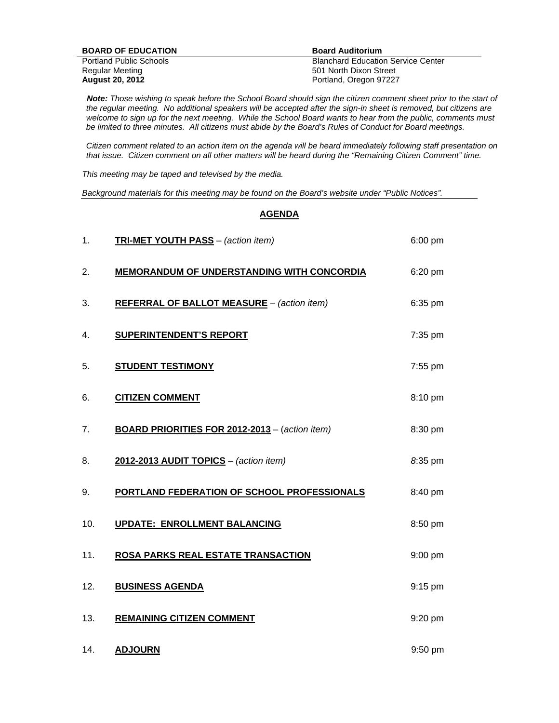| <b>BOARD OF EDUCATION</b>      | <b>Board Auditorium</b>                   |
|--------------------------------|-------------------------------------------|
| <b>Portland Public Schools</b> | <b>Blanchard Education Service Center</b> |
| Regular Meeting                | 501 North Dixon Street                    |
| <b>August 20, 2012</b>         | Portland, Oregon 97227                    |

 *Note: Those wishing to speak before the School Board should sign the citizen comment sheet prior to the start of the regular meeting. No additional speakers will be accepted after the sign-in sheet is removed, but citizens are welcome to sign up for the next meeting. While the School Board wants to hear from the public, comments must be limited to three minutes. All citizens must abide by the Board's Rules of Conduct for Board meetings.* 

 *Citizen comment related to an action item on the agenda will be heard immediately following staff presentation on that issue. Citizen comment on all other matters will be heard during the "Remaining Citizen Comment" time.* 

*This meeting may be taped and televised by the media.* 

*Background materials for this meeting may be found on the Board's website under "Public Notices".* 

## **AGENDA**

| 1.  | TRI-MET YOUTH PASS - (action item)                | 6:00 pm   |
|-----|---------------------------------------------------|-----------|
| 2.  | MEMORANDUM OF UNDERSTANDING WITH CONCORDIA        | 6:20 pm   |
| 3.  | <b>REFERRAL OF BALLOT MEASURE</b> - (action item) | 6:35 pm   |
| 4.  | <b>SUPERINTENDENT'S REPORT</b>                    | 7:35 pm   |
| 5.  | <b>STUDENT TESTIMONY</b>                          | 7:55 pm   |
| 6.  | <b>CITIZEN COMMENT</b>                            | 8:10 pm   |
| 7.  | BOARD PRIORITIES FOR 2012-2013 - (action item)    | 8:30 pm   |
| 8.  | 2012-2013 AUDIT TOPICS - (action item)            | 8:35 pm   |
| 9.  | PORTLAND FEDERATION OF SCHOOL PROFESSIONALS       | 8:40 pm   |
| 10. | <b>UPDATE: ENROLLMENT BALANCING</b>               | 8:50 pm   |
| 11. | ROSA PARKS REAL ESTATE TRANSACTION                | 9:00 pm   |
| 12. | <b>BUSINESS AGENDA</b>                            | 9:15 pm   |
| 13. | <b>REMAINING CITIZEN COMMENT</b>                  | 9:20 pm   |
| 14. | <b>ADJOURN</b>                                    | $9:50$ pm |